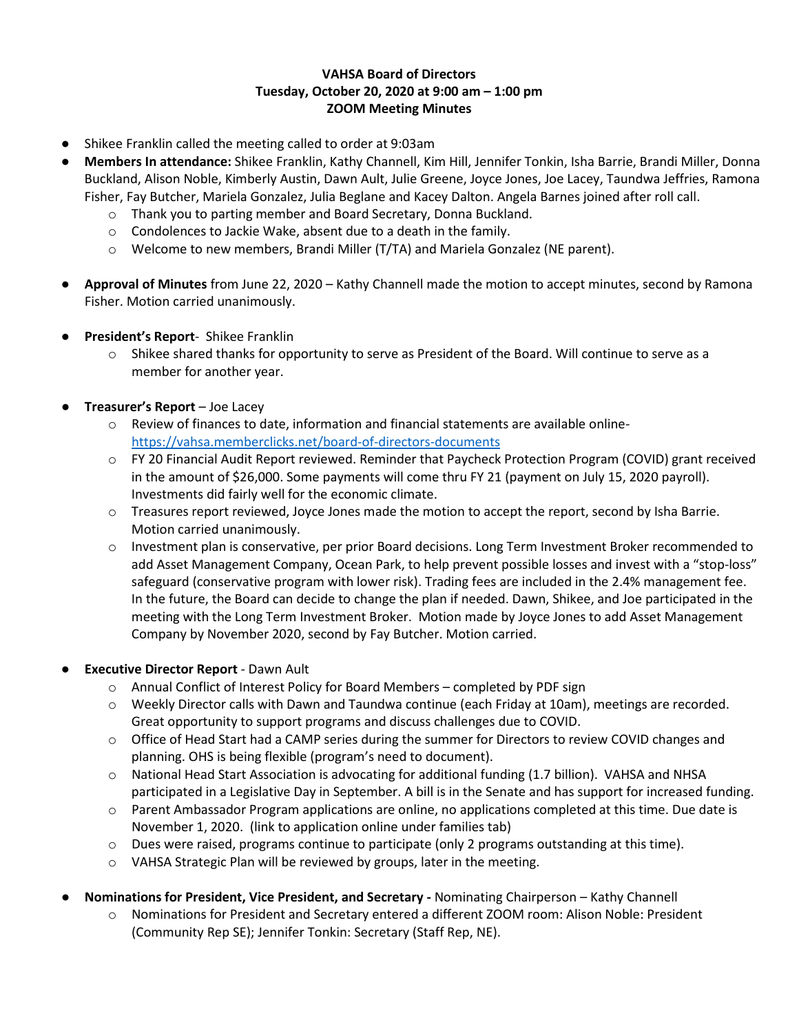# **VAHSA Board of Directors Tuesday, October 20, 2020 at 9:00 am – 1:00 pm ZOOM Meeting Minutes**

- Shikee Franklin called the meeting called to order at 9:03am
- **Members In attendance:** Shikee Franklin, Kathy Channell, Kim Hill, Jennifer Tonkin, Isha Barrie, Brandi Miller, Donna Buckland, Alison Noble, Kimberly Austin, Dawn Ault, Julie Greene, Joyce Jones, Joe Lacey, Taundwa Jeffries, Ramona Fisher, Fay Butcher, Mariela Gonzalez, Julia Beglane and Kacey Dalton. Angela Barnes joined after roll call.
	- o Thank you to parting member and Board Secretary, Donna Buckland.
	- o Condolences to Jackie Wake, absent due to a death in the family.
	- o Welcome to new members, Brandi Miller (T/TA) and Mariela Gonzalez (NE parent).
- **Approval of Minutes** from June 22, 2020 Kathy Channell made the motion to accept minutes, second by Ramona Fisher. Motion carried unanimously.
- **President's Report** Shikee Franklin
	- $\circ$  Shikee shared thanks for opportunity to serve as President of the Board. Will continue to serve as a member for another year.
- **Treasurer's Report** Joe Lacey
	- $\circ$  Review of finances to date, information and financial statements are available online<https://vahsa.memberclicks.net/board-of-directors-documents>
	- o FY 20 Financial Audit Report reviewed. Reminder that Paycheck Protection Program (COVID) grant received in the amount of \$26,000. Some payments will come thru FY 21 (payment on July 15, 2020 payroll). Investments did fairly well for the economic climate.
	- o Treasures report reviewed, Joyce Jones made the motion to accept the report, second by Isha Barrie. Motion carried unanimously.
	- o Investment plan is conservative, per prior Board decisions. Long Term Investment Broker recommended to add Asset Management Company, Ocean Park, to help prevent possible losses and invest with a "stop-loss" safeguard (conservative program with lower risk). Trading fees are included in the 2.4% management fee. In the future, the Board can decide to change the plan if needed. Dawn, Shikee, and Joe participated in the meeting with the Long Term Investment Broker. Motion made by Joyce Jones to add Asset Management Company by November 2020, second by Fay Butcher. Motion carried.

# **Executive Director Report** - Dawn Ault

- o Annual Conflict of Interest Policy for Board Members completed by PDF sign
- o Weekly Director calls with Dawn and Taundwa continue (each Friday at 10am), meetings are recorded. Great opportunity to support programs and discuss challenges due to COVID.
- o Office of Head Start had a CAMP series during the summer for Directors to review COVID changes and planning. OHS is being flexible (program's need to document).
- o National Head Start Association is advocating for additional funding (1.7 billion). VAHSA and NHSA participated in a Legislative Day in September. A bill is in the Senate and has support for increased funding.
- o Parent Ambassador Program applications are online, no applications completed at this time. Due date is November 1, 2020. (link to application online under families tab)
- o Dues were raised, programs continue to participate (only 2 programs outstanding at this time).
- o VAHSA Strategic Plan will be reviewed by groups, later in the meeting.
- **Nominations for President, Vice President, and Secretary -** Nominating Chairperson Kathy Channell
	- o Nominations for President and Secretary entered a different ZOOM room: Alison Noble: President (Community Rep SE); Jennifer Tonkin: Secretary (Staff Rep, NE).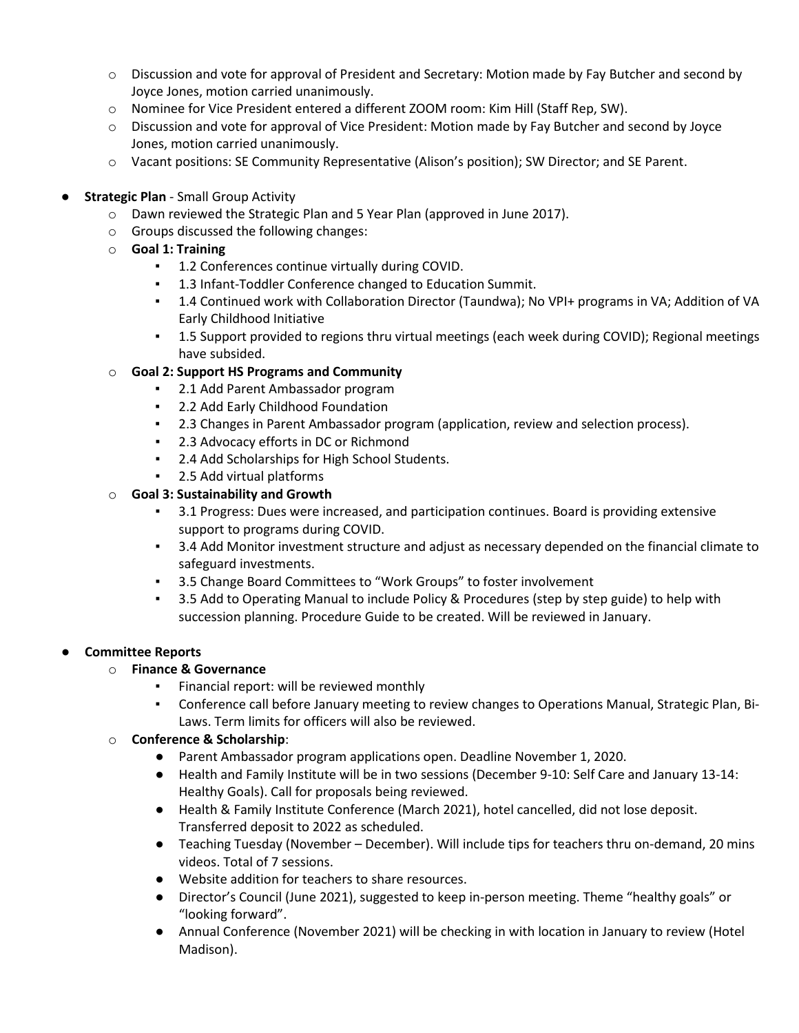- o Discussion and vote for approval of President and Secretary: Motion made by Fay Butcher and second by Joyce Jones, motion carried unanimously.
- o Nominee for Vice President entered a different ZOOM room: Kim Hill (Staff Rep, SW).
- o Discussion and vote for approval of Vice President: Motion made by Fay Butcher and second by Joyce Jones, motion carried unanimously.
- o Vacant positions: SE Community Representative (Alison's position); SW Director; and SE Parent.
- **Strategic Plan Small Group Activity** 
	- $\circ$  Dawn reviewed the Strategic Plan and 5 Year Plan (approved in June 2017).
	- o Groups discussed the following changes:
	- o **Goal 1: Training**
		- 1.2 Conferences continue virtually during COVID.
		- 1.3 Infant-Toddler Conference changed to Education Summit.
		- 1.4 Continued work with Collaboration Director (Taundwa); No VPI+ programs in VA; Addition of VA Early Childhood Initiative
		- 1.5 Support provided to regions thru virtual meetings (each week during COVID); Regional meetings have subsided.

### o **Goal 2: Support HS Programs and Community**

- 2.1 Add Parent Ambassador program
- 2.2 Add Early Childhood Foundation
- 2.3 Changes in Parent Ambassador program (application, review and selection process).
- 2.3 Advocacy efforts in DC or Richmond
- 2.4 Add Scholarships for High School Students.
- 2.5 Add virtual platforms

### o **Goal 3: Sustainability and Growth**

- 3.1 Progress: Dues were increased, and participation continues. Board is providing extensive support to programs during COVID.
- 3.4 Add Monitor investment structure and adjust as necessary depended on the financial climate to safeguard investments.
- 3.5 Change Board Committees to "Work Groups" to foster involvement
- 3.5 Add to Operating Manual to include Policy & Procedures (step by step guide) to help with succession planning. Procedure Guide to be created. Will be reviewed in January.

# ● **Committee Reports**

#### o **Finance & Governance**

- Financial report: will be reviewed monthly
- Conference call before January meeting to review changes to Operations Manual, Strategic Plan, Bi-Laws. Term limits for officers will also be reviewed.

# o **Conference & Scholarship**:

- Parent Ambassador program applications open. Deadline November 1, 2020.
- Health and Family Institute will be in two sessions (December 9-10: Self Care and January 13-14: Healthy Goals). Call for proposals being reviewed.
- Health & Family Institute Conference (March 2021), hotel cancelled, did not lose deposit. Transferred deposit to 2022 as scheduled.
- Teaching Tuesday (November December). Will include tips for teachers thru on-demand, 20 mins videos. Total of 7 sessions.
- Website addition for teachers to share resources.
- Director's Council (June 2021), suggested to keep in-person meeting. Theme "healthy goals" or "looking forward".
- Annual Conference (November 2021) will be checking in with location in January to review (Hotel Madison).